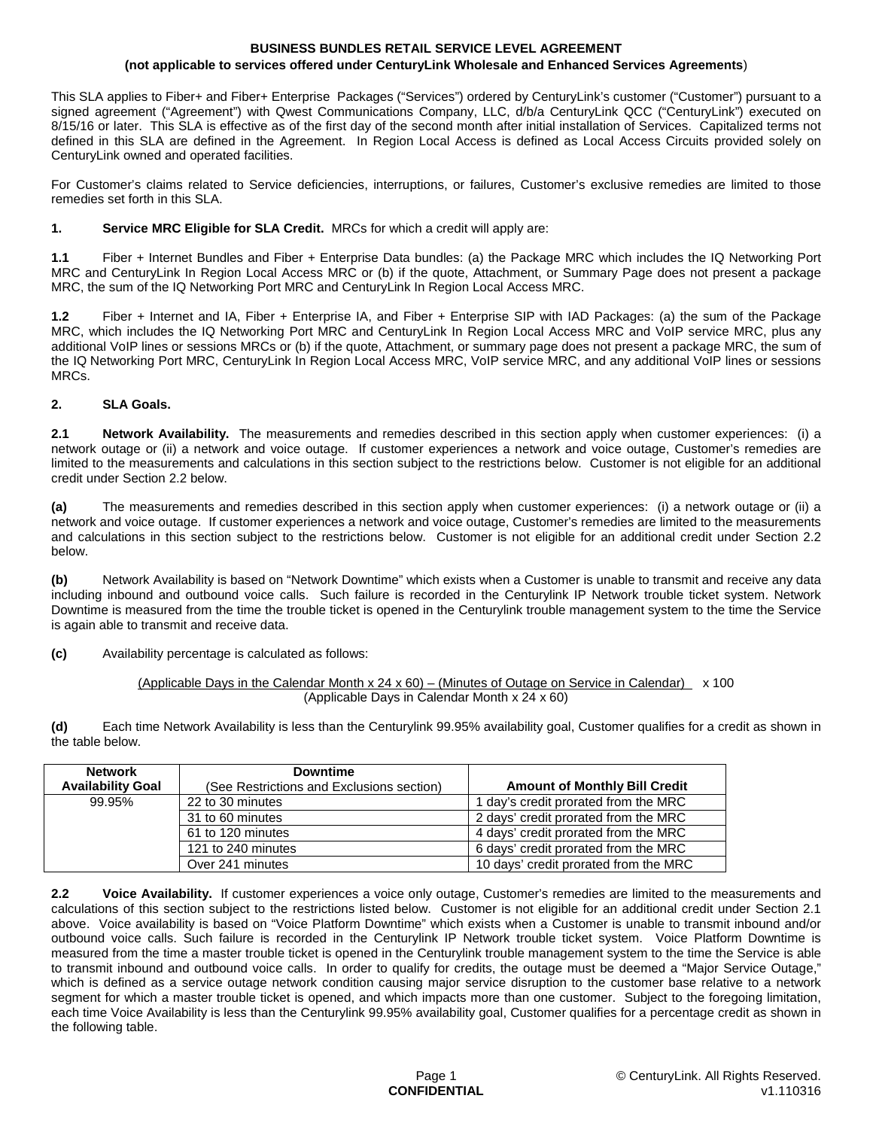#### **BUSINESS BUNDLES RETAIL SERVICE LEVEL AGREEMENT (not applicable to services offered under CenturyLink Wholesale and Enhanced Services Agreements**)

This SLA applies to Fiber+ and Fiber+ Enterprise Packages ("Services") ordered by CenturyLink's customer ("Customer") pursuant to a signed agreement ("Agreement") with Qwest Communications Company, LLC, d/b/a CenturyLink QCC ("CenturyLink") executed on 8/15/16 or later. This SLA is effective as of the first day of the second month after initial installation of Services. Capitalized terms not defined in this SLA are defined in the Agreement. In Region Local Access is defined as Local Access Circuits provided solely on CenturyLink owned and operated facilities.

For Customer's claims related to Service deficiencies, interruptions, or failures, Customer's exclusive remedies are limited to those remedies set forth in this SLA.

## **1. Service MRC Eligible for SLA Credit.** MRCs for which a credit will apply are:

**1.1** Fiber + Internet Bundles and Fiber + Enterprise Data bundles: (a) the Package MRC which includes the IQ Networking Port MRC and CenturyLink In Region Local Access MRC or (b) if the quote, Attachment, or Summary Page does not present a package MRC, the sum of the IQ Networking Port MRC and CenturyLink In Region Local Access MRC.

**1.2** Fiber + Internet and IA, Fiber + Enterprise IA, and Fiber + Enterprise SIP with IAD Packages: (a) the sum of the Package MRC, which includes the IQ Networking Port MRC and CenturyLink In Region Local Access MRC and VoIP service MRC, plus any additional VoIP lines or sessions MRCs or (b) if the quote, Attachment, or summary page does not present a package MRC, the sum of the IQ Networking Port MRC, CenturyLink In Region Local Access MRC, VoIP service MRC, and any additional VoIP lines or sessions MRCs.

# **2. SLA Goals.**

**2.1 Network Availability.** The measurements and remedies described in this section apply when customer experiences: (i) a network outage or (ii) a network and voice outage. If customer experiences a network and voice outage, Customer's remedies are limited to the measurements and calculations in this section subject to the restrictions below. Customer is not eligible for an additional credit under Section 2.2 below.

**(a)** The measurements and remedies described in this section apply when customer experiences: (i) a network outage or (ii) a network and voice outage. If customer experiences a network and voice outage, Customer's remedies are limited to the measurements and calculations in this section subject to the restrictions below. Customer is not eligible for an additional credit under Section 2.2 below.

**(b)** Network Availability is based on "Network Downtime" which exists when a Customer is unable to transmit and receive any data including inbound and outbound voice calls. Such failure is recorded in the Centurylink IP Network trouble ticket system. Network Downtime is measured from the time the trouble ticket is opened in the Centurylink trouble management system to the time the Service is again able to transmit and receive data.

**(c)** Availability percentage is calculated as follows:

## (Applicable Days in the Calendar Month x 24 x 60) – (Minutes of Outage on Service in Calendar)  $\times$  100 (Applicable Days in Calendar Month x 24 x 60)

**(d)** Each time Network Availability is less than the Centurylink 99.95% availability goal, Customer qualifies for a credit as shown in the table below.

| <b>Network</b>           | <b>Downtime</b>                           |                                       |
|--------------------------|-------------------------------------------|---------------------------------------|
| <b>Availability Goal</b> | (See Restrictions and Exclusions section) | <b>Amount of Monthly Bill Credit</b>  |
| 99.95%                   | 22 to 30 minutes                          | 1 day's credit prorated from the MRC  |
|                          | 31 to 60 minutes                          | 2 days' credit prorated from the MRC  |
|                          | 61 to 120 minutes                         | 4 days' credit prorated from the MRC  |
|                          | 121 to 240 minutes                        | 6 days' credit prorated from the MRC  |
|                          | Over 241 minutes                          | 10 days' credit prorated from the MRC |

**2.2 Voice Availability.** If customer experiences a voice only outage, Customer's remedies are limited to the measurements and calculations of this section subject to the restrictions listed below. Customer is not eligible for an additional credit under Section 2.1 above. Voice availability is based on "Voice Platform Downtime" which exists when a Customer is unable to transmit inbound and/or outbound voice calls. Such failure is recorded in the Centurylink IP Network trouble ticket system. Voice Platform Downtime is measured from the time a master trouble ticket is opened in the Centurylink trouble management system to the time the Service is able to transmit inbound and outbound voice calls. In order to qualify for credits, the outage must be deemed a "Major Service Outage," which is defined as a service outage network condition causing major service disruption to the customer base relative to a network segment for which a master trouble ticket is opened, and which impacts more than one customer. Subject to the foregoing limitation, each time Voice Availability is less than the Centurylink 99.95% availability goal, Customer qualifies for a percentage credit as shown in the following table.